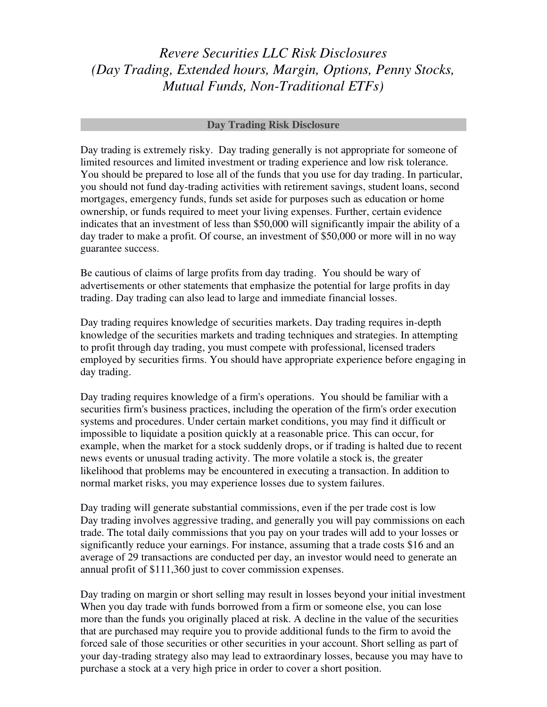# *Revere Securities LLC Risk Disclosures (Day Trading, Extended hours, Margin, Options, Penny Stocks, Mutual Funds, Non-Traditional ETFs)*

#### **Day Trading Risk Disclosure**

Day trading is extremely risky. Day trading generally is not appropriate for someone of limited resources and limited investment or trading experience and low risk tolerance. You should be prepared to lose all of the funds that you use for day trading. In particular, you should not fund day-trading activities with retirement savings, student loans, second mortgages, emergency funds, funds set aside for purposes such as education or home ownership, or funds required to meet your living expenses. Further, certain evidence indicates that an investment of less than \$50,000 will significantly impair the ability of a day trader to make a profit. Of course, an investment of \$50,000 or more will in no way guarantee success.

Be cautious of claims of large profits from day trading. You should be wary of advertisements or other statements that emphasize the potential for large profits in day trading. Day trading can also lead to large and immediate financial losses.

Day trading requires knowledge of securities markets. Day trading requires in-depth knowledge of the securities markets and trading techniques and strategies. In attempting to profit through day trading, you must compete with professional, licensed traders employed by securities firms. You should have appropriate experience before engaging in day trading.

Day trading requires knowledge of a firm's operations. You should be familiar with a securities firm's business practices, including the operation of the firm's order execution systems and procedures. Under certain market conditions, you may find it difficult or impossible to liquidate a position quickly at a reasonable price. This can occur, for example, when the market for a stock suddenly drops, or if trading is halted due to recent news events or unusual trading activity. The more volatile a stock is, the greater likelihood that problems may be encountered in executing a transaction. In addition to normal market risks, you may experience losses due to system failures.

Day trading will generate substantial commissions, even if the per trade cost is low Day trading involves aggressive trading, and generally you will pay commissions on each trade. The total daily commissions that you pay on your trades will add to your losses or significantly reduce your earnings. For instance, assuming that a trade costs \$16 and an average of 29 transactions are conducted per day, an investor would need to generate an annual profit of \$111,360 just to cover commission expenses.

Day trading on margin or short selling may result in losses beyond your initial investment When you day trade with funds borrowed from a firm or someone else, you can lose more than the funds you originally placed at risk. A decline in the value of the securities that are purchased may require you to provide additional funds to the firm to avoid the forced sale of those securities or other securities in your account. Short selling as part of your day-trading strategy also may lead to extraordinary losses, because you may have to purchase a stock at a very high price in order to cover a short position.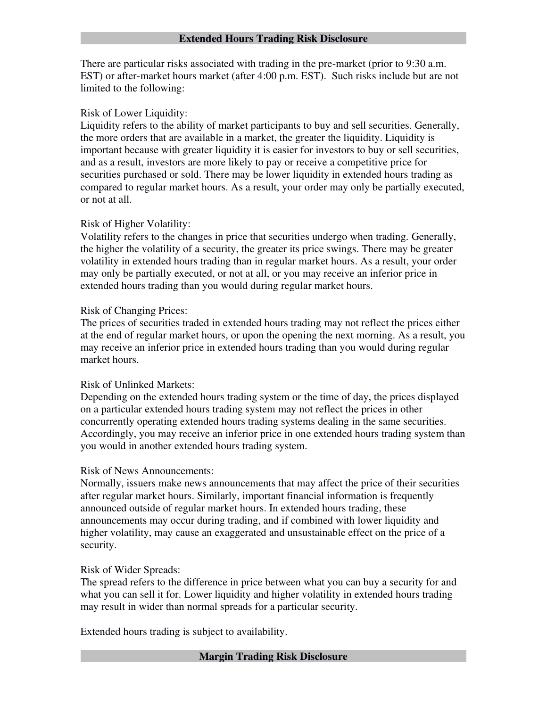#### **Extended Hours Trading Risk Disclosure**

There are particular risks associated with trading in the pre-market (prior to 9:30 a.m. EST) or after-market hours market (after 4:00 p.m. EST). Such risks include but are not limited to the following:

## Risk of Lower Liquidity:

Liquidity refers to the ability of market participants to buy and sell securities. Generally, the more orders that are available in a market, the greater the liquidity. Liquidity is important because with greater liquidity it is easier for investors to buy or sell securities, and as a result, investors are more likely to pay or receive a competitive price for securities purchased or sold. There may be lower liquidity in extended hours trading as compared to regular market hours. As a result, your order may only be partially executed, or not at all.

# Risk of Higher Volatility:

Volatility refers to the changes in price that securities undergo when trading. Generally, the higher the volatility of a security, the greater its price swings. There may be greater volatility in extended hours trading than in regular market hours. As a result, your order may only be partially executed, or not at all, or you may receive an inferior price in extended hours trading than you would during regular market hours.

# Risk of Changing Prices:

The prices of securities traded in extended hours trading may not reflect the prices either at the end of regular market hours, or upon the opening the next morning. As a result, you may receive an inferior price in extended hours trading than you would during regular market hours.

## Risk of Unlinked Markets:

Depending on the extended hours trading system or the time of day, the prices displayed on a particular extended hours trading system may not reflect the prices in other concurrently operating extended hours trading systems dealing in the same securities. Accordingly, you may receive an inferior price in one extended hours trading system than you would in another extended hours trading system.

## Risk of News Announcements:

Normally, issuers make news announcements that may affect the price of their securities after regular market hours. Similarly, important financial information is frequently announced outside of regular market hours. In extended hours trading, these announcements may occur during trading, and if combined with lower liquidity and higher volatility, may cause an exaggerated and unsustainable effect on the price of a security.

# Risk of Wider Spreads:

The spread refers to the difference in price between what you can buy a security for and what you can sell it for. Lower liquidity and higher volatility in extended hours trading may result in wider than normal spreads for a particular security.

Extended hours trading is subject to availability.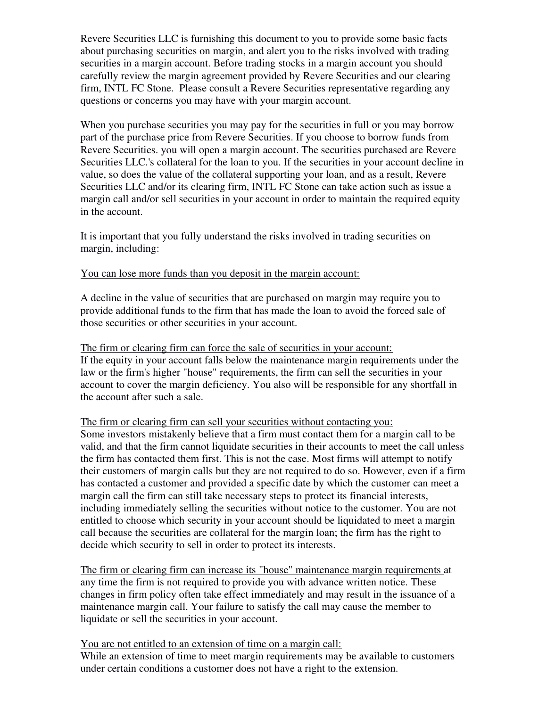Revere Securities LLC is furnishing this document to you to provide some basic facts about purchasing securities on margin, and alert you to the risks involved with trading securities in a margin account. Before trading stocks in a margin account you should carefully review the margin agreement provided by Revere Securities and our clearing firm, INTL FC Stone. Please consult a Revere Securities representative regarding any questions or concerns you may have with your margin account.

When you purchase securities you may pay for the securities in full or you may borrow part of the purchase price from Revere Securities. If you choose to borrow funds from Revere Securities. you will open a margin account. The securities purchased are Revere Securities LLC.'s collateral for the loan to you. If the securities in your account decline in value, so does the value of the collateral supporting your loan, and as a result, Revere Securities LLC and/or its clearing firm, INTL FC Stone can take action such as issue a margin call and/or sell securities in your account in order to maintain the required equity in the account.

It is important that you fully understand the risks involved in trading securities on margin, including:

#### You can lose more funds than you deposit in the margin account:

A decline in the value of securities that are purchased on margin may require you to provide additional funds to the firm that has made the loan to avoid the forced sale of those securities or other securities in your account.

The firm or clearing firm can force the sale of securities in your account: If the equity in your account falls below the maintenance margin requirements under the law or the firm's higher "house" requirements, the firm can sell the securities in your account to cover the margin deficiency. You also will be responsible for any shortfall in the account after such a sale.

#### The firm or clearing firm can sell your securities without contacting you:

Some investors mistakenly believe that a firm must contact them for a margin call to be valid, and that the firm cannot liquidate securities in their accounts to meet the call unless the firm has contacted them first. This is not the case. Most firms will attempt to notify their customers of margin calls but they are not required to do so. However, even if a firm has contacted a customer and provided a specific date by which the customer can meet a margin call the firm can still take necessary steps to protect its financial interests, including immediately selling the securities without notice to the customer. You are not entitled to choose which security in your account should be liquidated to meet a margin call because the securities are collateral for the margin loan; the firm has the right to decide which security to sell in order to protect its interests.

The firm or clearing firm can increase its "house" maintenance margin requirements at any time the firm is not required to provide you with advance written notice. These changes in firm policy often take effect immediately and may result in the issuance of a maintenance margin call. Your failure to satisfy the call may cause the member to liquidate or sell the securities in your account.

You are not entitled to an extension of time on a margin call:

While an extension of time to meet margin requirements may be available to customers under certain conditions a customer does not have a right to the extension.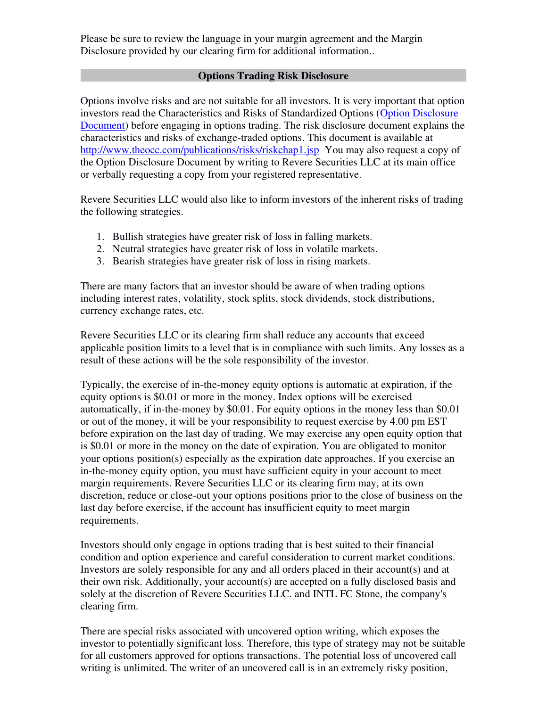Please be sure to review the language in your margin agreement and the Margin Disclosure provided by our clearing firm for additional information..

## **Options Trading Risk Disclosure**

Options involve risks and are not suitable for all investors. It is very important that option investors read the Characteristics and Risks of Standardized Options [\(Option Disclosure](https://www.theocc.com/Company-Information/Documents-and-Archives/Options-Disclosure-Document)  [Document\)](https://www.theocc.com/Company-Information/Documents-and-Archives/Options-Disclosure-Document) before engaging in options trading. The risk disclosure document explains the characteristics and risks of exchange-traded options. This document is available at <http://www.theocc.com/publications/risks/riskchap1.jsp>You may also request a copy of the Option Disclosure Document by writing to Revere Securities LLC at its main office or verbally requesting a copy from your registered representative.

Revere Securities LLC would also like to inform investors of the inherent risks of trading the following strategies.

- 1. Bullish strategies have greater risk of loss in falling markets.
- 2. Neutral strategies have greater risk of loss in volatile markets.
- 3. Bearish strategies have greater risk of loss in rising markets.

There are many factors that an investor should be aware of when trading options including interest rates, volatility, stock splits, stock dividends, stock distributions, currency exchange rates, etc.

Revere Securities LLC or its clearing firm shall reduce any accounts that exceed applicable position limits to a level that is in compliance with such limits. Any losses as a result of these actions will be the sole responsibility of the investor.

Typically, the exercise of in-the-money equity options is automatic at expiration, if the equity options is \$0.01 or more in the money. Index options will be exercised automatically, if in-the-money by \$0.01. For equity options in the money less than \$0.01 or out of the money, it will be your responsibility to request exercise by 4.00 pm EST before expiration on the last day of trading. We may exercise any open equity option that is \$0.01 or more in the money on the date of expiration. You are obligated to monitor your options position(s) especially as the expiration date approaches. If you exercise an in-the-money equity option, you must have sufficient equity in your account to meet margin requirements. Revere Securities LLC or its clearing firm may, at its own discretion, reduce or close-out your options positions prior to the close of business on the last day before exercise, if the account has insufficient equity to meet margin requirements.

Investors should only engage in options trading that is best suited to their financial condition and option experience and careful consideration to current market conditions. Investors are solely responsible for any and all orders placed in their account(s) and at their own risk. Additionally, your account(s) are accepted on a fully disclosed basis and solely at the discretion of Revere Securities LLC. and INTL FC Stone, the company's clearing firm.

There are special risks associated with uncovered option writing, which exposes the investor to potentially significant loss. Therefore, this type of strategy may not be suitable for all customers approved for options transactions. The potential loss of uncovered call writing is unlimited. The writer of an uncovered call is in an extremely risky position,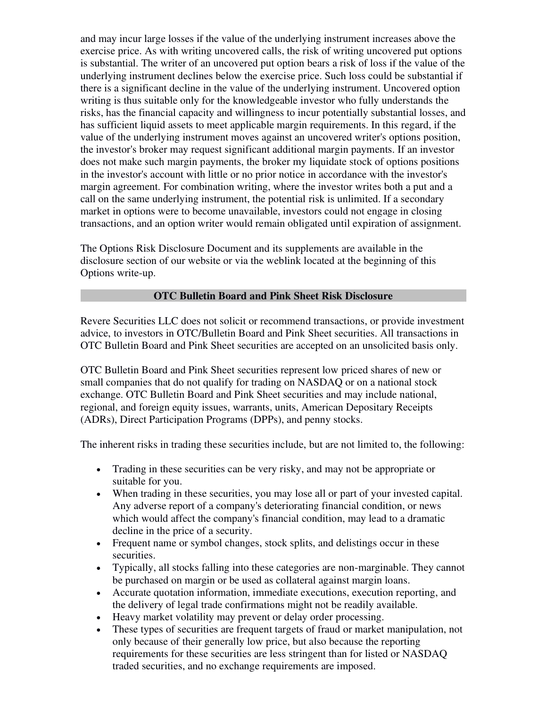and may incur large losses if the value of the underlying instrument increases above the exercise price. As with writing uncovered calls, the risk of writing uncovered put options is substantial. The writer of an uncovered put option bears a risk of loss if the value of the underlying instrument declines below the exercise price. Such loss could be substantial if there is a significant decline in the value of the underlying instrument. Uncovered option writing is thus suitable only for the knowledgeable investor who fully understands the risks, has the financial capacity and willingness to incur potentially substantial losses, and has sufficient liquid assets to meet applicable margin requirements. In this regard, if the value of the underlying instrument moves against an uncovered writer's options position, the investor's broker may request significant additional margin payments. If an investor does not make such margin payments, the broker my liquidate stock of options positions in the investor's account with little or no prior notice in accordance with the investor's margin agreement. For combination writing, where the investor writes both a put and a call on the same underlying instrument, the potential risk is unlimited. If a secondary market in options were to become unavailable, investors could not engage in closing transactions, and an option writer would remain obligated until expiration of assignment.

The Options Risk Disclosure Document and its supplements are available in the disclosure section of our website or via the weblink located at the beginning of this Options write-up.

## **OTC Bulletin Board and Pink Sheet Risk Disclosure**

Revere Securities LLC does not solicit or recommend transactions, or provide investment advice, to investors in OTC/Bulletin Board and Pink Sheet securities. All transactions in OTC Bulletin Board and Pink Sheet securities are accepted on an unsolicited basis only.

OTC Bulletin Board and Pink Sheet securities represent low priced shares of new or small companies that do not qualify for trading on NASDAQ or on a national stock exchange. OTC Bulletin Board and Pink Sheet securities and may include national, regional, and foreign equity issues, warrants, units, American Depositary Receipts (ADRs), Direct Participation Programs (DPPs), and penny stocks.

The inherent risks in trading these securities include, but are not limited to, the following:

- Trading in these securities can be very risky, and may not be appropriate or suitable for you.
- When trading in these securities, you may lose all or part of your invested capital. Any adverse report of a company's deteriorating financial condition, or news which would affect the company's financial condition, may lead to a dramatic decline in the price of a security.
- Frequent name or symbol changes, stock splits, and delistings occur in these securities.
- Typically, all stocks falling into these categories are non-marginable. They cannot be purchased on margin or be used as collateral against margin loans.
- Accurate quotation information, immediate executions, execution reporting, and the delivery of legal trade confirmations might not be readily available.
- Heavy market volatility may prevent or delay order processing.
- These types of securities are frequent targets of fraud or market manipulation, not only because of their generally low price, but also because the reporting requirements for these securities are less stringent than for listed or NASDAQ traded securities, and no exchange requirements are imposed.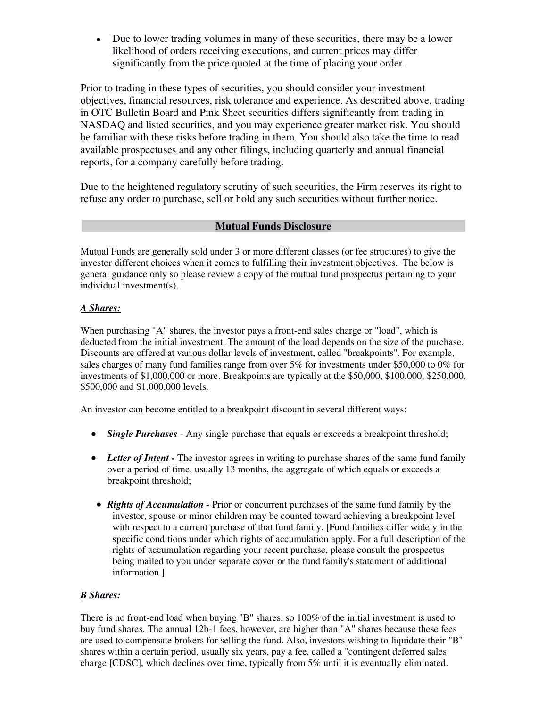• Due to lower trading volumes in many of these securities, there may be a lower likelihood of orders receiving executions, and current prices may differ significantly from the price quoted at the time of placing your order.

Prior to trading in these types of securities, you should consider your investment objectives, financial resources, risk tolerance and experience. As described above, trading in OTC Bulletin Board and Pink Sheet securities differs significantly from trading in NASDAQ and listed securities, and you may experience greater market risk. You should be familiar with these risks before trading in them. You should also take the time to read available prospectuses and any other filings, including quarterly and annual financial reports, for a company carefully before trading.

Due to the heightened regulatory scrutiny of such securities, the Firm reserves its right to refuse any order to purchase, sell or hold any such securities without further notice.

## **Mutual Funds Disclosure**

Mutual Funds are generally sold under 3 or more different classes (or fee structures) to give the investor different choices when it comes to fulfilling their investment objectives. The below is general guidance only so please review a copy of the mutual fund prospectus pertaining to your individual investment(s).

## *A Shares:*

When purchasing "A" shares, the investor pays a front-end sales charge or "load", which is deducted from the initial investment. The amount of the load depends on the size of the purchase. Discounts are offered at various dollar levels of investment, called "breakpoints". For example, sales charges of many fund families range from over 5% for investments under \$50,000 to 0% for investments of \$1,000,000 or more. Breakpoints are typically at the \$50,000, \$100,000, \$250,000, \$500,000 and \$1,000,000 levels.

An investor can become entitled to a breakpoint discount in several different ways:

- *Single Purchases* Any single purchase that equals or exceeds a breakpoint threshold;
- Letter of Intent The investor agrees in writing to purchase shares of the same fund family over a period of time, usually 13 months, the aggregate of which equals or exceeds a breakpoint threshold;
- *Rights of Accumulation* Prior or concurrent purchases of the same fund family by the investor, spouse or minor children may be counted toward achieving a breakpoint level with respect to a current purchase of that fund family. [Fund families differ widely in the specific conditions under which rights of accumulation apply. For a full description of the rights of accumulation regarding your recent purchase, please consult the prospectus being mailed to you under separate cover or the fund family's statement of additional information.]

## *B Shares:*

There is no front-end load when buying "B" shares, so 100% of the initial investment is used to buy fund shares. The annual 12b-1 fees, however, are higher than "A" shares because these fees are used to compensate brokers for selling the fund. Also, investors wishing to liquidate their "B" shares within a certain period, usually six years, pay a fee, called a "contingent deferred sales charge [CDSC], which declines over time, typically from 5% until it is eventually eliminated.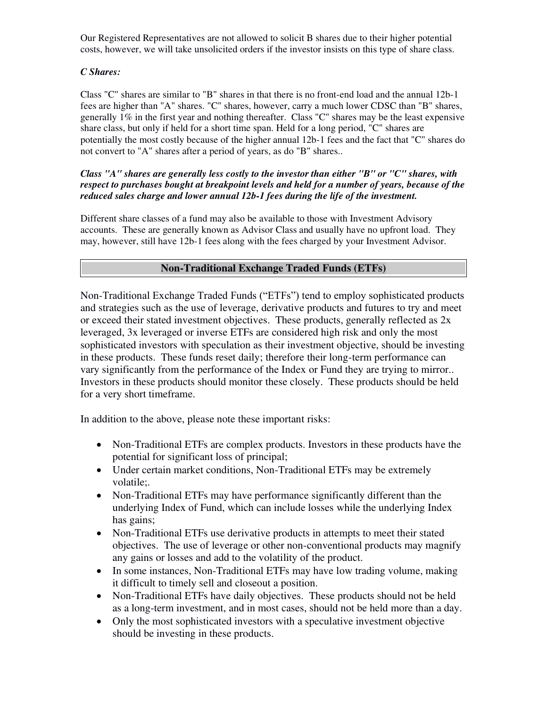Our Registered Representatives are not allowed to solicit B shares due to their higher potential costs, however, we will take unsolicited orders if the investor insists on this type of share class.

#### *C Shares:*

Class "C" shares are similar to "B" shares in that there is no front-end load and the annual 12b-1 fees are higher than "A" shares. "C" shares, however, carry a much lower CDSC than "B" shares, generally 1% in the first year and nothing thereafter. Class "C" shares may be the least expensive share class, but only if held for a short time span. Held for a long period, "C" shares are potentially the most costly because of the higher annual 12b-1 fees and the fact that "C" shares do not convert to "A" shares after a period of years, as do "B" shares..

#### *Class "A" shares are generally less costly to the investor than either "B" or "C" shares, with respect to purchases bought at breakpoint levels and held for a number of years, because of the reduced sales charge and lower annual 12b-1 fees during the life of the investment.*

Different share classes of a fund may also be available to those with Investment Advisory accounts. These are generally known as Advisor Class and usually have no upfront load. They may, however, still have 12b-1 fees along with the fees charged by your Investment Advisor.

## **Non-Traditional Exchange Traded Funds (ETFs)**

Non-Traditional Exchange Traded Funds ("ETFs") tend to employ sophisticated products and strategies such as the use of leverage, derivative products and futures to try and meet or exceed their stated investment objectives. These products, generally reflected as 2x leveraged, 3x leveraged or inverse ETFs are considered high risk and only the most sophisticated investors with speculation as their investment objective, should be investing in these products. These funds reset daily; therefore their long-term performance can vary significantly from the performance of the Index or Fund they are trying to mirror.. Investors in these products should monitor these closely. These products should be held for a very short timeframe.

In addition to the above, please note these important risks:

- Non-Traditional ETFs are complex products. Investors in these products have the potential for significant loss of principal;
- Under certain market conditions, Non-Traditional ETFs may be extremely volatile;.
- Non-Traditional ETFs may have performance significantly different than the underlying Index of Fund, which can include losses while the underlying Index has gains;
- Non-Traditional ETFs use derivative products in attempts to meet their stated objectives. The use of leverage or other non-conventional products may magnify any gains or losses and add to the volatility of the product.
- In some instances, Non-Traditional ETFs may have low trading volume, making it difficult to timely sell and closeout a position.
- Non-Traditional ETFs have daily objectives. These products should not be held as a long-term investment, and in most cases, should not be held more than a day.
- Only the most sophisticated investors with a speculative investment objective should be investing in these products.